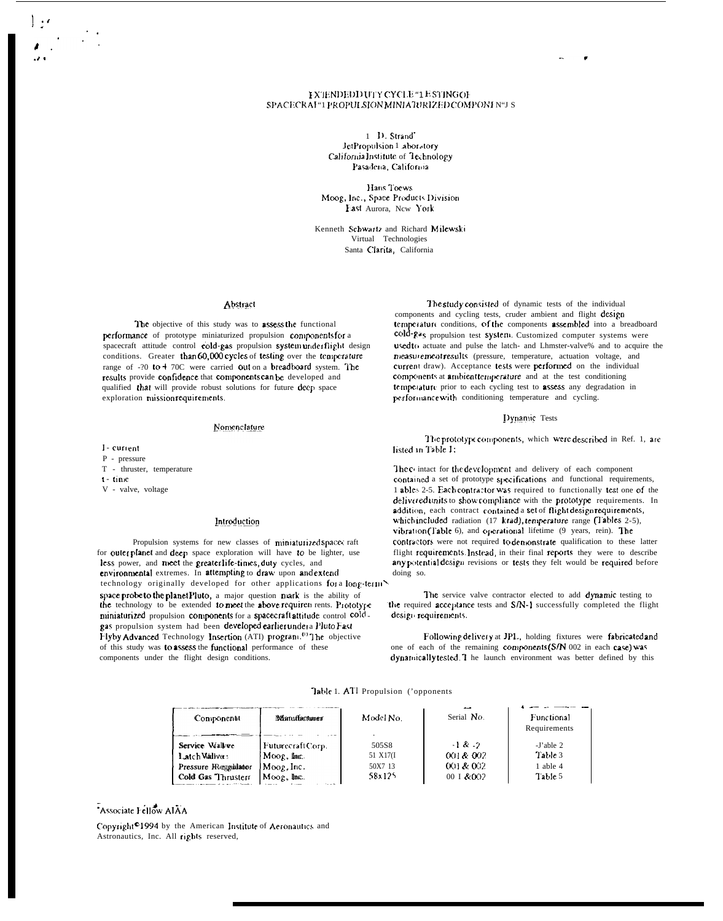#### **FXTENDEDD UTY CYCLE "1E STINGOF** SPACECRAI "1 PROPULSION MINIATURIZED COMPONIN"I S

1 D. Strand JetPropulsion 1 aboratory California Institute of Technology Pasadena, California

Hans Toews Moog, Inc., Space Products Division Fast Aurora, New York

Kenneth Schwartz and Richard Milewski Virtual Technologies Santa Clarita, California

#### Abstract

The objective of this study was to assess the functional performance of prototype miniaturized propulsion components for a spacecraft attitude control cold-gas propulsion system under flight design conditions. Greater than 60,000 cycles of testing over the temperature range of -? 0 to + 70C were carried out on a breadboard system. The results provide confidence that components can be developed and qualified that will provide robust solutions for future deep space exploration missionrequirements.

#### Nomenclature

I-current  $P - pressure$ T - thruster, temperature  $t - time$ 

V - valve, voltage

#### Introduction

Propulsion systems for new classes of miniaturized spaces raft for outerplanet and deep space exploration will have to be lighter, use less power, and meet the greater life-times, duty cycles, and environmental extremes. In attempting to draw upon and extend technology originally developed for other applications for a long-term space probe to the planet Pluto, a major question nuark is the ability of the technology to be extended to meet the above requiren rents. Prototype miniaturized propulsion components for a spacecraft attitude control cold. gas propulsion system had been developed earlier under a Pluto Fast Flyby Advanced Technology Insertion (ATI) program.<sup>(1)</sup> The objective of this study was to assess the functional performance of these components under the flight design conditions.

The study consisted of dynamic tests of the individual components and cycling tests, cruder ambient and flight design temperature conditions, of the components assembled into a breadboard cold-gas propulsion test system. Customized computer systems were used to actuate and pulse the latch- and Lhmster-valve% and to acquire the measurement results (pressure, temperature, actuation voltage, and current draw). Acceptance tests were performed on the individual components at ambient temperature and at the test conditioning temperature prior to each cycling test to assess any degradation in performance with conditioning temperature and cycling.

#### Dynamic Tests

The prototype components, which were described in Ref. 1, are listed in Table 1:

The c intact for the development and delivery of each component contained a set of prototype specifications and functional requirements, 1 ables 2-5. Each contractor was required to functionally test one of the delivered units to show compliance with the prototype requirements. In addition, each contract contained a set of flight design requirements, which included radiation (17 krad), temperature range (Tables 2-5), vibration (Table 6), and operational lifetime (9 years, rein). The contractors were not required to demonstrate qualification to these latter flight requirements. Instead, in their final reports they were to describe any potential design revisions or tests they felt would be required before doing so.

The service valve contractor elected to add dynamic testing to the required acceptance tests and S/N-1 successfully completed the flight design requirements.

Following delivery at JPL, holding fixtures were fabricated and one of each of the remaining components (S/N 002 in each case) was dynamically tested 1 he launch environment was better defined by this

#### Table 1. ATI Propulsion ('opponents

| Componenti            | Manufacturer     | Model No. | Serial No.  | Functional<br>Requirements |
|-----------------------|------------------|-----------|-------------|----------------------------|
| Service Walvee        | FuturecraftCorp. | 505S8     | $-1$ & $-2$ | $-I'$ able 2               |
| Latch Wallve:         | $M$ oog, Inc.    | 51 X17(I  | 001 & 002   | Table 3                    |
| Pressure JReggulatour | Moog, Inc.       | 50X7 13   | 001 & 002   | 1 able 4                   |
| Cold Gas Thrusterr    | Moog, Inc.       | 58x125    | 00 I & 002  | Table 5                    |
|                       |                  |           |             |                            |

## Associate Fellow AIAA

Copyright<sup>0</sup>1994 by the American Institute of Aeronautics and Astronautics, Inc. All rights reserved,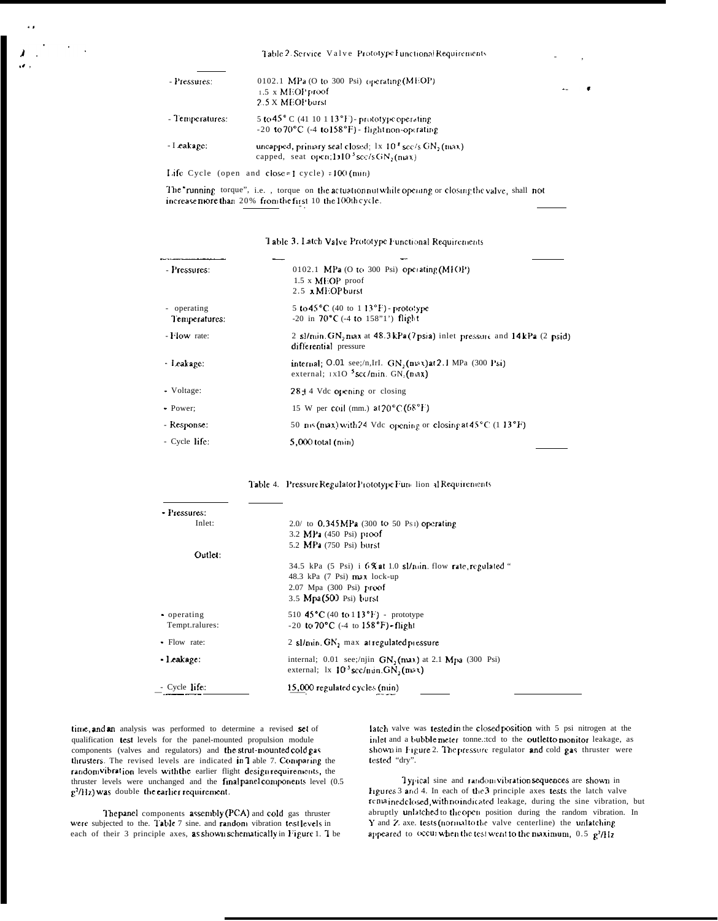Table 2. Service Valve Prototype Functional Requirements

| - Pressures:    | 0102.1 MPa (O to 300 Psi) operating $(MEOP)$                              |  |
|-----------------|---------------------------------------------------------------------------|--|
|                 | $1.5 \times \text{MEOP}$ proof                                            |  |
|                 | 2.5 X MEOP burst                                                          |  |
| - Temperatures: | 5 to $45^{\circ}$ C (41 10 113 <sup>o</sup> F) - prototype operating      |  |
|                 | $-20$ to $70^{\circ}$ C ( $-4$ to $158^{\circ}$ F) - flight non-operating |  |
| - I cakape:     | uncapped, primary seal closed: $1x \ 10^3$ scc/s GN, (max)                |  |
|                 | capped, seat open; $1103$ sc:/s GN, (nax)                                 |  |
|                 |                                                                           |  |

Life Cycle (open and close=1 cycle) =100 (min)

The 'running torque", i.e., torque on the actuation nut while operang or closing the valve, shall not increase more than 20% from the first 10 the 100th cycle.

Table 3. Latch Valve Prototype Functional Requirements

| - Pressures:                 | 0102.1 MPa (O to 300 Psi) operating $(MIOP)$<br>$1.5 \times$ MEOP proof<br>2.5 x MEOP burst                      |
|------------------------------|------------------------------------------------------------------------------------------------------------------|
| - operating<br>Temperatures: | 5 to 45 $^{\circ}$ C (40 to 1.13 $^{\circ}$ F) - prototype<br>$-20$ in 70 $^{\circ}$ C ( $-4$ to 158"1") flight  |
| - Flow rate:                 | 2 sl/nun GN, max at 48.3kPa (7psia) inlet pressure and 14kPa (2 psid)<br>differential pressure                   |
| - Leakage:                   | internal; O.01 see;/n,IrI. $GN_2$ (n $\infty$ ) at 2.1 MPa (300 Psi)<br>external; $1x10^{-5}$ scc/min. GN, (nax) |
| - Voltage:                   | $28 + 4$ Vdc opening or closing                                                                                  |
| - Power:                     | 15 W per coil (mm.) $\alpha$ 120°C (68°F)                                                                        |
| - Response:                  | 50 ns (max) with 24 Vdc opening or closing at $45^{\circ}$ C (1 13 <sup>°</sup> F)                               |
| - Cycle life:                | $5,000$ total (min)                                                                                              |

|  |  |  |  |  | Table 4. Pressure Regulator Prototype Function al Requirements |
|--|--|--|--|--|----------------------------------------------------------------|
|--|--|--|--|--|----------------------------------------------------------------|

| - Pressures:   |                                                                                                                         |
|----------------|-------------------------------------------------------------------------------------------------------------------------|
| Inlet:         | $2.0/$ to 0.345 MPa (300 to 50 Ps1) operating                                                                           |
|                | 3.2 MPa (450 Psi) proof                                                                                                 |
|                | 5.2 MPa (750 Psi) burst                                                                                                 |
| Outlet:        |                                                                                                                         |
|                | 34.5 kPa $(5 \text{ Psi})$ i $6\%$ at 1.0 sl/nin. flow rate, regulated "                                                |
|                | 48.3 kPa $(7 \text{ Psi})$ max lock-up                                                                                  |
|                | 2.07 Mpa (300 Psi) proof                                                                                                |
|                | 3.5 Mpa(500 Psi) burst                                                                                                  |
| operating      | 510 45 °C (40 to 113 °F) - prototype                                                                                    |
| Tempt.ralures: | $-20$ to $70^{\circ}$ C (-4 to $158^{\circ}$ F) flight                                                                  |
| Flow rate:     | 2 sl/min. GN, max at regulated pressure                                                                                 |
| leakage:       | internal; 0.01 see;/njin $GN_2$ (nxx) at 2.1 Mpa (300 Psi)<br>external; $1x \ 10^3 \text{sec/u}$ in. GN, $(\text{max})$ |
| Cycle life:    | 15,000 regulated cycles (nun)                                                                                           |

time, and an analysis was performed to determine a revised set of qualification test levels for the panel-mounted propulsion module components (valves and regulators) and the strut-mounted cold gas thrusters. The revised levels are indicated in I able 7. Comparing the random vibration levels with the earlier flight design requirements, the thruster levels were unchanged and the final panel components level (0.5)  $g^2$ /Hz) was double the earlier requirement.

The panel components assembly (PCA) and cold gas thruster were subjected to the. Table 7 sine, and random vibration testlevels in each of their 3 principle axes, as shown schematically in Figure 1. T be latch valve was tested in the closed position with 5 psi nitrogen at the inlet and a bubble meter tonne :: ted to the outlet to monitor leakage, as shown in Figure 2. The pressure regulator and cold gas thruster were tested "dry".

ä,

Typical sine and random vibration sequences are shown in Irgures 3 and 4. In each of the 3 principle axes tests the latch valve remained closed, with no indicated leakage, during the sine vibration, but abruptly unlatched to the open position during the random vibration. In Y and Z axe. tests (normal to the valve centerline) the unlatching appeared to occur when the test went to the maximum,  $0.5\ \text{g}^2/\text{Hz}$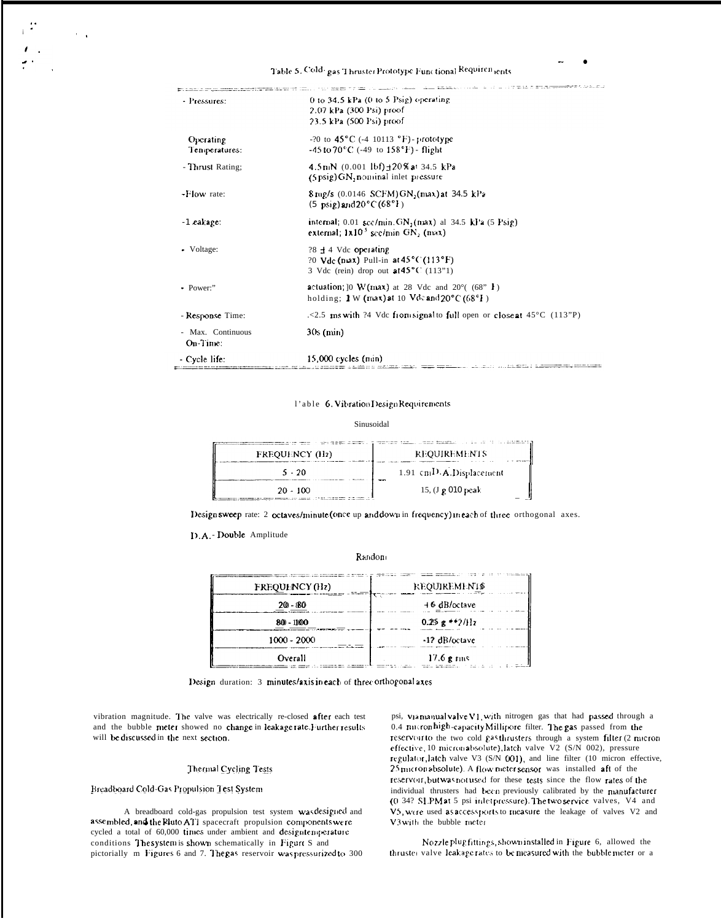Table 5. Cold- gas Thruster Prototype Functional Requirentents

|                   | the component and contact the                                                                                                                  |
|-------------------|------------------------------------------------------------------------------------------------------------------------------------------------|
| - Pressures:      | 0 to 34.5 kPa $(0 \text{ to } 5 \text{ Psig})$ operating                                                                                       |
|                   | 2.07 kPa (300 Psi) proof                                                                                                                       |
|                   | 23.5 kPa (500 Psi) proof                                                                                                                       |
| Operating         | $-20$ to $45^{\circ}$ C ( $-4$ 10113 $^{\circ}$ F) - prototype                                                                                 |
| Temperatures:     | $-45$ to $70^{\circ}$ C (-49 to $158^{\circ}$ F) - flight                                                                                      |
| - Thrust Rating;  | $4.5 \text{ mN}$ (0.001 lbf) +20% at 34.5 kPa                                                                                                  |
|                   | $(5 \text{ psig})$ GN, non inal inlet pressure                                                                                                 |
| -Flow rate:       | 8 mg/s (0.0146 SCFM) GN, (max) at 34.5 kPa                                                                                                     |
|                   | $(5 \text{ psig})$ and $20^{\circ}$ C $(68^{\circ}1)$                                                                                          |
| $-1$ cakage:      | internal, $0.01$ scc/mun. $GN_2$ (max) al 34.5 kPa (5 Psig)                                                                                    |
|                   | external: $1x10^3$ scc/min GN, (max)                                                                                                           |
| • Voltage:        | ?8 + 4 Vdc operating                                                                                                                           |
|                   | ?0 $Vdc$ (nax) Pull-in at 45 $°C$ (113 $\textdegree$ F)                                                                                        |
|                   | 3 Vdc (rein) drop out at $45^{\circ}$ C (113"1)                                                                                                |
| • Power:"         | <b>actuation:</b> $[0 \ W (\text{max})]$ at 28 Vdc and 20 $^{\circ}$ (68" <b>F</b> )                                                           |
|                   | holding: 1 W (max) at 10 Vdc and $20^{\circ}$ C (68 $^{\circ}$ F)                                                                              |
| - Response Time:  | .<2.5 ms with ?4 Vdc from signal to full open or close at $45^{\circ}$ C (113"P)                                                               |
| - Max. Continuous | $30s$ (min)                                                                                                                                    |
| On-Time:          |                                                                                                                                                |
| - Cycle life:     | $15,000$ cycles (min)<br><u> 2001 : 2002 : The Communication de l'Autorist (1982 : 2003 : 2004 : 2004 : 2004 : 2004 : 2004 : 2004 : 2004 :</u> |

#### l'able 6. Vibration Design Requirements

Sinusoidal

| <b>FREQUENCY (Hz)</b> | <b>REQUIREMENTS</b>      |
|-----------------------|--------------------------|
| $5 - 20$              | 1.91 cmD.A.Displacement  |
| $20 - 100$            | 15, (J $\bm{p}$ 010 peak |

Designsweep rate: 2 octaves/minute (once up and down in frequency) meach of three orthogonal axes.

D.A.-Double Amplitude

Random

| FREQUENCY (Hz) | <b>REQUIREMENTS</b> |
|----------------|---------------------|
| $20 - 80$      | $+6$ dB/octave      |
| 80 - 1100      | $0.25g$ + + 2/Hz    |
| $1000 - 2000$  | -12 dB/octave       |
| Overall        | $17.6$ g rms        |

Design duration: 3 minutes/axis in each of three orthogonal axes

vibration magnitude. The valve was electrically re-closed after each test and the bubble meter showed no change in leakage rate. Further results will be discussed in the next section.

#### Thermal Cycling Tests

Breadboard Cold-Gas Propulsion Test System

A breadboard cold-gas propulsion test system was designed and assembled, and the Rluto ATI spacecraft propulsion components we recycled a total of 60,000 times under ambient and designiencerature conditions The system is shown schematically in Figure S and pictorially m Figures 6 and 7. The gas reservoir was pressurized to 300

psi, via manual valve V1, with nitrogen gas that had passed through a 0.4 micronhigh-capacity Millipore filter. The gas passed from the reservoirto the two cold gasthrusters through a system filter (2 micron effective, 10 micron absolute), latch valve V2 (S/N 002), pressure regulator, latch valve V3 (S/N 001), and line filter (10 micron effective,  $25$ <sub>micron</sub> absolute). A flow meter sensor was installed aft of the reservoir, but was not used for these tests since the flow rates of the individual thrusters had been previously calibrated by the manufacturer (0.34? SLPM at 5 psi inlet pressure). The two service valves, V4 and V5, were used as access ports to measure the leakage of valves V2 and V3 with the bubble meter

Nozzle plug fittings, shown installed in Figure 6, allowed the thruster valve leakage rates to be measured with the bubble meter or a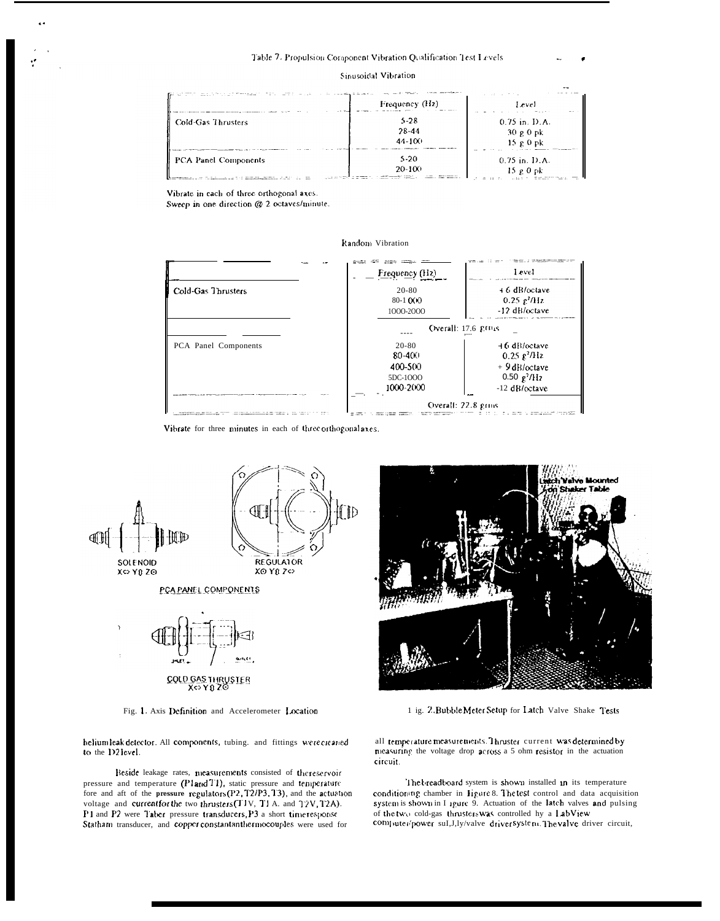#### Sinusoidal Vibration

|                      | Frequency $(Hz)$                | Level                                     |
|----------------------|---------------------------------|-------------------------------------------|
| Cold-Gas Thrusters   | $5 - 28$<br>28-44<br>$44 - 100$ | $0.75$ in. D.A.<br>$30g0$ pk<br>$15g0$ pk |
| PCA Panel Components | $5-20$<br>$20 - 100$            | $0.75$ in. D.A.<br>$15g0$ pk<br>.         |

Vibrate in each of three orthogonal axes. Sweep in one direction @ 2 octaves/minute.

#### Random Vibration



Vibrate for three minutes in each of three orthogonalaxes.



Fig. 1. Axis Definition and Accelerometer Location

COLD GAS THRUSTER

heliumleak detector. All components, tubing. and fittings were created to the D2 level.

Beside leakage rates, measurements consisted of the reservoir pressure and temperature (Pland T1), static pressure and temperature fore and aft of the pressure regulators (P2, T2/P3, T3), and the actuation voltage and current for the two thrusters (T1V, T1A. and T2V, T2A). P1 and P2 were Taber pressure transducers, P3 a short time response Statham transducer, and copper constantanthermocouples were used for



1 ig. 2. Bubble Meter Setup for Latch Valve Shake Tests

all temperature measurements. Thruster current was determined by measuring the voltage drop across a 5 ohm resistor in the actuation circuit.

The breadboard system is shown installed in its temperature conditioning chamber in ligure 8. The test control and data acquisition system is shown in I 1gure 9. Actuation of the latch valves and pulsing of the two cold-gas thrusters was controlled hy a LabView computer/power suI,J,ly/valve driver system. The valve driver circuit,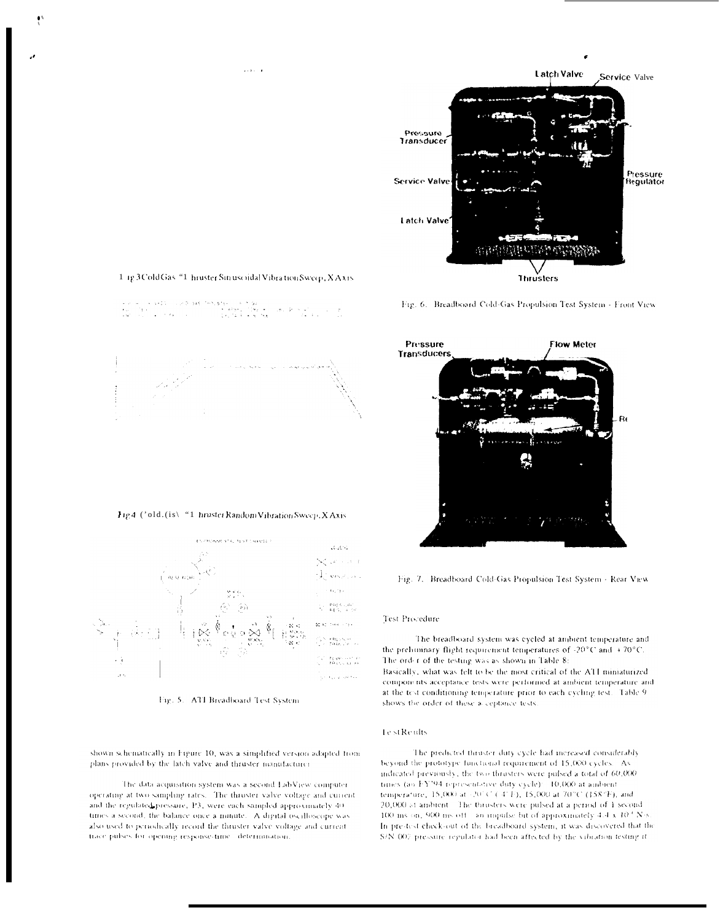



1 1g 3 Cold Gas "1 hruster Sin usoidal Vibration Sweep, X Axis

Fig 4 ('old.(is\ "1 hruster Random Vibration Sweep, X Axis



Fig. 5. ATI Breadboard Test System

shown schematically in Figure 10, was a simplified version adapted from plans provided by the latch valve and thruster manufacturer

The data acquisition system was a second LabView computer. operating at two sampling rates. The thruster valve voltage and current and the regulated pressure, P3, were each sampled approximately 40. times a second, the balance once a minute. A digital oscilloscope was also used to periodically record the thruster valve voltage and current. trace pulses for opening response-time determination.



Fig. 6. Breadboard Cold-Gas Propulsion Test System - Front View



Fig. 7. Breadboard Cold-Gas Propulsion Test System - Rear View

#### Test Procedure

The breadboard system was cycled at ambient temperature and the prehiminary flight requirement temperatures of -20°C and +70°C. The order of the testing was as shown in Table 8: Basically, what was felt to be the most critical of the ATI miniaturized components acceptance tests were performed at ambient temperature and at the test conditioning temperature prior to each cycling test. Table 9shows the order of these a ceptance tests.

#### **Test Reults**

The predicted thruster duty cycle had increased considerably beyond the prototype functional requirement of 15,000 cycles. As indicated previously, the two thrusters were pulsed a total of 60,000. times (ao FY'94 representative duty cycle): 10,000 at ambient temperature, 15,000 at (2010) (141F), 15,000 at 70°C (158°F), and 20,000 at ambient. The thrusters were pulsed at a period of 1 second 100 ms on, 900 ms off - an impulse bit of approximately  $4.4 \times 10^{4}$  N/s. In prestest check-out of the breadboard system, it was discovered that the S/N-002 pressure regulator had been affected by the vibration testing it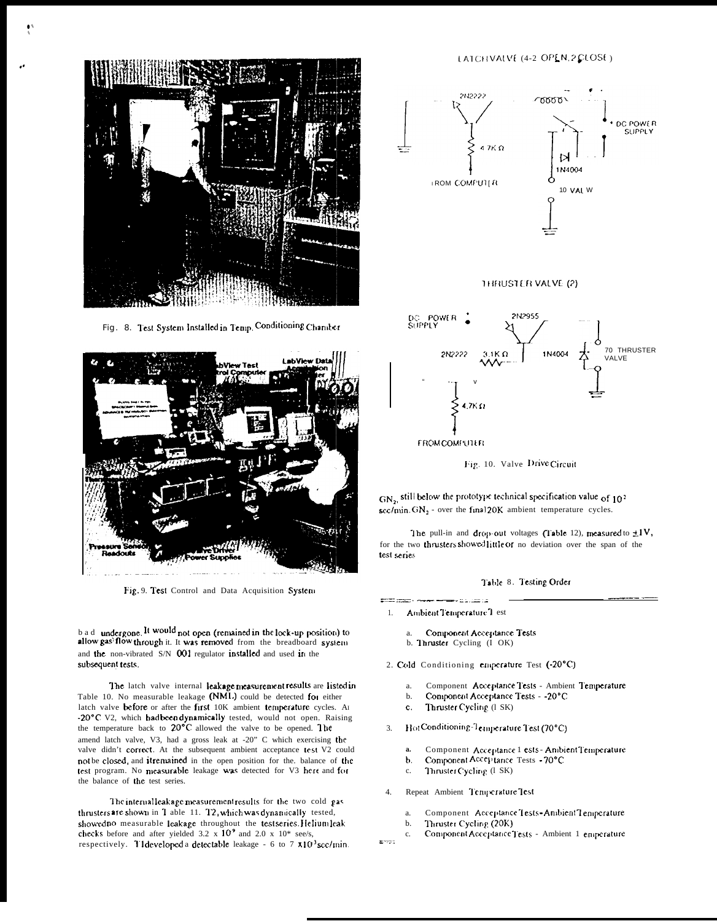

Fig. 8. Test System Installed in Temp. Conditioning Chamber



Fig. 9. Test Control and Data Acquisition System

b a d undergone. It would not open (remained in the lock-up position) to allow gas' flow through it. It was removed from the breadboard system and the non-vibrated S/N 001 regulator installed and used in the subsequent tests.

The latch valve internal leakage measurement results are listed in Table 10. No measurable leakage (NML) could be detected for either latch valve before or after the first 10K ambient temperature cycles. An -20°C V2, which had been dynamically tested, would not open. Raising the temperature back to 20°C allowed the valve to be opened. The amend latch valve, V3, had a gross leak at -20" C which exercising the valve didn't correct. At the subsequent ambient acceptance test V2 could not be closed, and it remained in the open position for the. balance of the test program. No measurable leakage was detected for V3 here and for the balance of the test series.

The internal leakage measurement results for the two cold gas thrusters are shown in T able 11. T2, which was dynamically tested, showed no measurable leakage throughout the test series. Helium leak checks before and after yielded 3.2  $\times$  10<sup>9</sup> and 2.0  $\times$  10<sup>\*</sup> see/s, respectively. T1developed a detectable leakage - 6 to 7  $\times$ 10<sup>3</sup> scc/min.

#### LATCHVALVE (4-2 OPEN, 2 CLOSE)







Fig. 10. Valve Drive Circuit

 $GN<sub>2</sub>$  still below the prototype technical specification value of 10<sup>2</sup>  $\frac{\text{sec/min}}{\text{sinh}}$ . GN<sub>2</sub> - over the final 20K ambient temperature cycles.

The pull-in and drop-out voltages (Table 12), measured to  $\pm 1V$ , for the two thrusters showed little or no deviation over the span of the test series

#### Table 8. Testing Order

- Ambient Temperature 1 est 1.
	- Component Acceptance Tests a. b. Thruster Cycling (I OK)

عامتنا الدعاء

- 2. Cold Conditioning emperature Test (-20°C)
	- Component Acceptance Tests Ambient Temperature  $\overline{a}$
	- Component Acceptance Tests - 20°C  $<sub>b</sub>$ </sub>
	- $\mathbf{c}$ . Thruster Cycling (1 SK)
- Hot Conditioning-Temperature Test (70°C)  $\mathcal{L}$ 
	- Component Acceptance 1 ests Ambient Temperature a.
	- Component Acceptance Tests 70°C b.
	- Thruster Cycling (1 SK)  $\mathbf{c}$ .
- Repeat Ambient Temperature Test  $4.$ 
	- a. Component Acceptance Tests - Ambient Temperature
	- $\mathbf b$ . Thruster Cycling (20K)
- c. Component Acceptance Tests - Ambient 1 emperature  $2 - 725$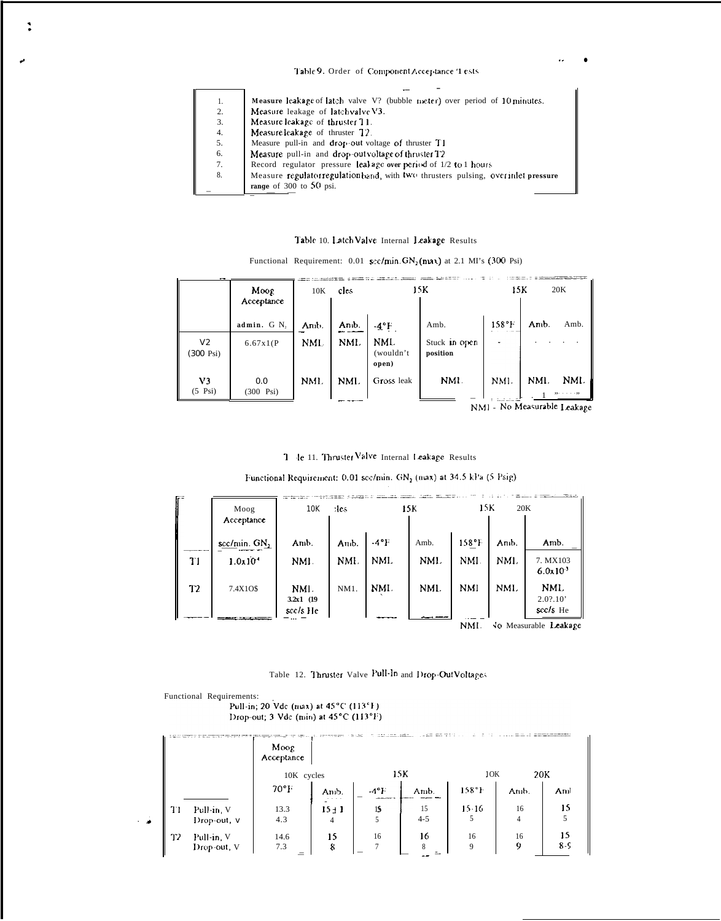# Table 9. Order of Component Acceptance '1 ests

| 1. | Measure leakage of latch valve V? (bubble meter) over period of 10 minutes.        |
|----|------------------------------------------------------------------------------------|
| 2. | Measure leakage of latch valve V3.                                                 |
| 3. | Measure leakage of thruster 11.                                                    |
| 4. | Measure leakage of thruster 12.                                                    |
| 5. | Measure pull-in and drop-out voltage of thruster T1                                |
| 6. | Measure pull-in and drop-outvoltage of thruster T2                                 |
| 7. | Record regulator pressure leal age over period of 1/2 to 1 hours                   |
| 8. | Measure regulator regulation band, with two thrusters pulsing, over inlet pressure |
|    | range of $300$ to $50$ psi.                                                        |
|    |                                                                                    |

## Table 10. Latch Valve Internal Leakage Results

| Functional Requirement: 0.01 sec/min. $GN_2$ (nax) at 2.1 MI's (300 Psi) |  |  |  |  |  |
|--------------------------------------------------------------------------|--|--|--|--|--|
|--------------------------------------------------------------------------|--|--|--|--|--|

|                                       | Moog<br>Acceptance         | 10K        | cles  |                           | 15K                       | 15K   |      | 20K  |
|---------------------------------------|----------------------------|------------|-------|---------------------------|---------------------------|-------|------|------|
|                                       | admin. G N,                | Anib.      | Anib. | $-4$ °F                   | Amb.                      | 158°F | Amb. | Amb. |
| V <sub>2</sub><br>$(300 \text{ Psi})$ | 6.67x1(P)                  | <b>NML</b> | NML   | NML<br>(wouldn't<br>open) | Stuck in open<br>position |       |      |      |
| V3<br>$(5 \text{Psi})$                | 0.0<br>$(300 \text{ Psi})$ | NMI.       | NMI.  | Gross leak                | NMI.                      | NMI.  | NMI. | NML. |

NMI - No Measurable Leakage

 $\ddot{\phantom{a}}$ 

7 le 11. Thruster Valve Internal Leakage Results

Functional Requirement: 0.01 scc/min. GN<sub>2</sub> (max) at 34.5 kPa (5 Psig)

| Г÷ | Moog<br>Acceptance    | 10K                              | :les    |         | 15K  | 15 K       | 20K  |                                 |
|----|-----------------------|----------------------------------|---------|---------|------|------------|------|---------------------------------|
|    | $sec/min$ . $GN_2$    | Amb.                             | And.    | $-4$ °F | Amb. | 158°F      | Anb. | Amb.                            |
| T1 | $1.0x10$ <sup>*</sup> | NMI.                             | NMI.    | NML     | NMI. | NMI.       | NMI. | 7. MX103<br>6.0x10 <sup>3</sup> |
| T2 | 7.4X10\$              | NMI.<br>$3.2x1$ (19)<br>scc/s He | $NM1$ . | NMI.    | NML  | <b>NMI</b> | NML  | NML.<br>2.02.10'<br>scc/s He    |
|    |                       |                                  |         |         |      | NMI.       |      | No Measurable Leakage           |

Table 12. Thruster Valve Pull-In and Drop-OutVoltages

Functional Requirements:<br>Pull-in; 20 Vdc (max) at 45°C (113°F) Drop-out; 3 Vdc (min) at 45°C (113°F)

|   |    |                           | Moog<br>Acceptance                           |               | <b>CONTRACTOR</b>                 |               |                |         | and some some are produced "Whitehall that is |
|---|----|---------------------------|----------------------------------------------|---------------|-----------------------------------|---------------|----------------|---------|-----------------------------------------------|
|   |    |                           | 10K cycles                                   |               |                                   | 15K           | 10K            | 20K     |                                               |
|   |    |                           | $70^{\circ}$ F                               | Amb.<br>.     | $-4$ °F<br><b>CONTRACTOR</b> 1979 | Amb.          | $158^{\circ}1$ | Amb.    | Anil                                          |
| ٠ | TI | Pull-in V<br>Drop-out, V  | 13.3<br>4.3                                  | $15 + 1$<br>4 | 15                                | 15<br>$4 - 5$ | $15 - 16$      | 16<br>4 | 15                                            |
|   | 72 | Pull-in, V<br>Drop-out, V | 14.6<br>7.3<br>$\overline{\phantom{a}}$<br>= | 15<br>8       | 16                                | 16<br>8<br>÷. | 16<br>9        | 16<br>9 | 15<br>$8 - 5$                                 |

 $\ddot{\phantom{a}}$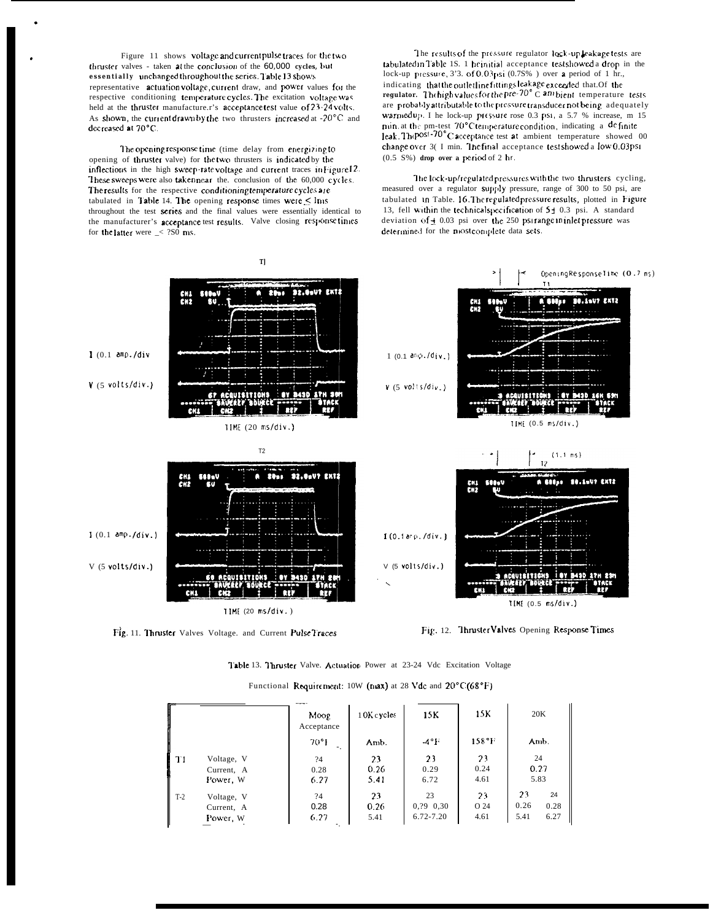Figure 11 shows voltage and current pulse traces for the two thruster valves - taken at the conclusion of the 60,000 cycles, but essentially unchanged throughout the series. Table 13 shows representative actuation voltage, current draw, and power values for the respective conditioning temperature cycles. The excitation voltage was held at the thruster manufacture.r's acceptance test value of 23-24 volts. As shown, the current drawn by the two thrusters increased at -20°C and decreased at 70°C.

The opening response time (time delay from energizing to opening of thruster valve) for the two thrusters is indicated by the inflections in the high sweep-ratevoltage and current traces in Figure 12. These sweeps were also takennear the. conclusion of the 60,000 cycles. The results for the respective conditioning temperature cycles are tabulated in Table 14. The opening response times were  $\leq$  lms throughout the test series and the final values were essentially identical to the manufacturer's acceptance test results. Valve closing response times for the latter were  $\angle$  280 ms.

The results of the pressure regulator lock-up leakagetests are tabulated in Table 1S. 1 he initial acceptance test showed a drop in the lock-up pressure, 3'3. of 0.03 psi  $(0.75\%$ ) over a period of 1 hr., indicating that the outlet line fittings leakage exceeded that. Of the regulator. The high values for the pre-70° C am bient temperature tests are probably attributable to the pressure transducer not being adequately warmed up. I he lock-up pressure rose 0.3 psi, a 5.7 % increase, m 15 min. at the pm-test 70°C temperature condition, indicating a definite leak. The post-70° C acceptance test at ambient temperature showed 00 change over 3( I min. The final acceptance testshowed a low 0.03psi  $(0.5 S%)$  drop over a period of 2 hr.

The lock-up/regulated pressures with the two thrusters cycling, measured over a regulator supply pressure, range of 300 to 50 psi, are tabulated in Table. 16. The regulated pressure results, plotted in Figure 13, fell within the technical specification of  $5\pm 0.3$  psi. A standard deviation of  $\pm$  0.03 psi over the 250 psirange in inlet pressure was determined for the mostcomplete data sets.







Table 13. Thruster Valve. Actuation Power at 23-24 Vdc Excitation Voltage

| Functional Requirement: 10W ( $max$ ) at 28 Vdc and $20^{\circ}$ C (68 $^{\circ}$ F) |  |  |  |
|--------------------------------------------------------------------------------------|--|--|--|
|--------------------------------------------------------------------------------------|--|--|--|

|       |            | Moog<br>Acceptance                          | 10K c yeles | 15K            | 15K             | 20K  |      |
|-------|------------|---------------------------------------------|-------------|----------------|-----------------|------|------|
|       |            | $70^{\circ}$<br>$\mathcal{L}_{\mathcal{A}}$ | Amb.        | $-4^{\circ}$ F | $158^{\circ}$ F | Amb. |      |
| T1    | Voltage, V | ?4                                          | 23          | 23             | 23              | 24   |      |
|       | Current, A | 0.28                                        | 0.26        | 0.29           | 0.24            | 0.27 |      |
|       | Power, W   | 6.27                                        | 5.41        | 6.72           | 4.61            | 5.83 |      |
| $T-2$ | Voltage, V | ?4                                          | 23          | 23             | 23              | 23   | 24   |
|       | Current, A | 0.28                                        | 0.26        | $0, ?9$ 0.30   | O 24            | 0.26 | 0.28 |
|       | Power, W   | 6.27                                        | 5.41        | $6.72 - 7.20$  | 4.61            | 5.41 | 6.27 |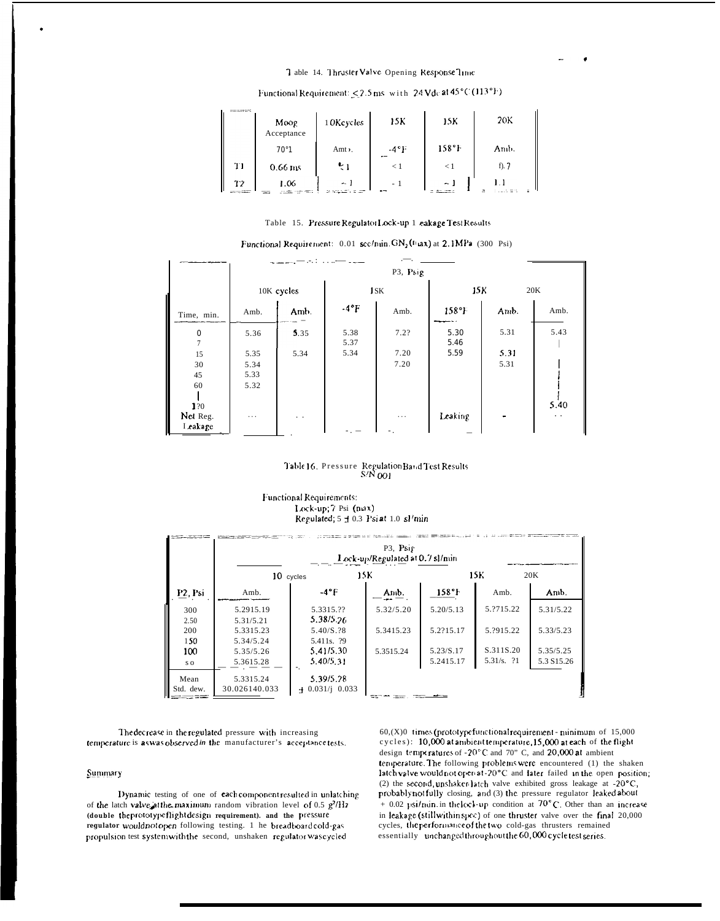#### 7 able 14. Thruster Valve Opening Response Time

| <b>CONTRACTOR COMPANY PRODUCTS AND INCOME.</b><br><b>AS RELEASED AT ALC 19</b> | Moog<br>Acceptance | 1 OK cycles     | 15K                  | 15K      | 20K        |
|--------------------------------------------------------------------------------|--------------------|-----------------|----------------------|----------|------------|
|                                                                                | 70°1               | Amt $\lambda$ . | $-4^{\circ}$ F<br>-- | 158°F    | Anib.      |
| T1                                                                             | $0.66$ ms          | $\sim$ 1        | $\leq 1$             | - 1      | $f$ ). $7$ |
| าว<br>------                                                                   | 1.06<br>$-$        | $\sim$ 1        | - 1<br>$-$           | $\sim$ 1 |            |

# Functional Requirement:  $\leq$  2.5 ms with 24 Vdc at 45°C (113°F)

#### Table 15. Pressure Regulator Lock-up 1 eakage Test Results

|                            |          | P3, Psig   |               |          |              |      |                      |
|----------------------------|----------|------------|---------------|----------|--------------|------|----------------------|
|                            |          | 10K cycles |               | 1SK      | 15K          |      | 20K                  |
| Time, min.                 | Amb.     | Amb.       | $-4^{\circ}F$ | Amb.     | 158°F        | Amb. | Amb.                 |
| $\bf{0}$<br>$\overline{7}$ | 5.36     | 5.35       | 5.38<br>5.37  | 7.2?     | 5.30<br>5.46 | 5.31 | 5.43                 |
| 15                         | 5.35     | 5.34       | 5.34          | 7.20     | 5.59         | 5.31 |                      |
| 30                         | 5.34     |            |               | 7.20     |              | 5.31 |                      |
| 45                         | 5.33     |            |               |          |              |      |                      |
| 60<br>120                  | 5.32     |            |               |          |              |      | 5.40                 |
| Net Reg.<br>Leakage        | $\cdots$ | $\ddotsc$  |               | $\cdots$ | Leaking      |      | $\ddot{\phantom{0}}$ |

Functional Requirement: 0.01 sec/min. GN<sub>2</sub>(Fiax) at 2.1MPa (300 Psi)

# Table 16. Pressure Regulation Band Test Results<br>S/N 001

#### Functional Requirements: Lock-up; 7 Psi (niax) Regulated; 5 ± 0.3 Psi at 1.0 sl/min

|                      | P3. Psig<br>Lock-up/Regulated at 0.7 sl/min |                                      |           |                        |                           |                          |
|----------------------|---------------------------------------------|--------------------------------------|-----------|------------------------|---------------------------|--------------------------|
|                      | 10 cycles                                   | 15K                                  |           |                        | 15K                       | 20K                      |
| P <sub>2</sub> . Psi | Amb.                                        | $-4$ <sup>o</sup> F                  | Amb.      | 158°                   | Amb.                      | Amb.                     |
| 300                  | 5.2915.19                                   | 5.3315.??<br>5.38/5.26               | 5.32/5.20 | 5.20/5.13              | 5.2715.22                 | 5.31/5.22                |
| 2.50<br>200          | 5.31/5.21<br>5.3315.23                      | 5.40/S.28                            | 5.3415.23 | 5.2?15.17              | 5.2915.22                 | 5.33/5.23                |
| 150<br>100           | 5.34/5.24<br>5.35/5.26                      | 5.411s. ?9<br>5.41/5.30<br>5.40/5.31 | 5.3515.24 | 5.23/S.17<br>5.2415.17 | S.311S.20<br>$5.31/s.$ ?1 | 5.35/5.25<br>5.3 \$15.26 |
| s o                  | 5.3615.28                                   |                                      |           |                        |                           |                          |
| Mean<br>Std. dew.    | 5.3315.24<br>30.026140.033                  | 5.39/5.28<br>$+$ 0.031/j 0.033       |           |                        |                           |                          |

The decrease in the regulated pressure with increasing temperature is as was observed in the manufacturer's acceptance tests.

#### Summary

Dynamic testing of one of eachcomponent resulted in unlatching of the latch valve at the maximum random vibration level of 0.5  $g^2/Hr$ (double theprototypeflightdesign requirement). and the pressure regulator wouldnot open following testing. 1 he breadboardcold-gas propulsion test system with the second, unshaken regulator was cycled

60,(X)0 times (prototype functional requirement - minimum of 15,000 cycles): 10,000 at ambient temperature, 15,000 at each of the flight design temperatures of -20°C and 70" C, and 20,000 at ambient temperature. The following problems were encountered (1) the shaken latch valve would not open at -20°C and later failed in the open position; (2) the second, unshaken latch valve exhibited gross leakage at -20°C, probably notfully closing, and (3) the pressure regulator leaked about + 0.02 psi/nun.in the lock-up condition at  $70^{\circ}$ C. Other than an increase in leakage (still within spcc) of one thruster valve over the final 20,000 cycles, the performance of the two cold-gas thrusters remained essentially unchanged throughout the 60,000 cycle test series.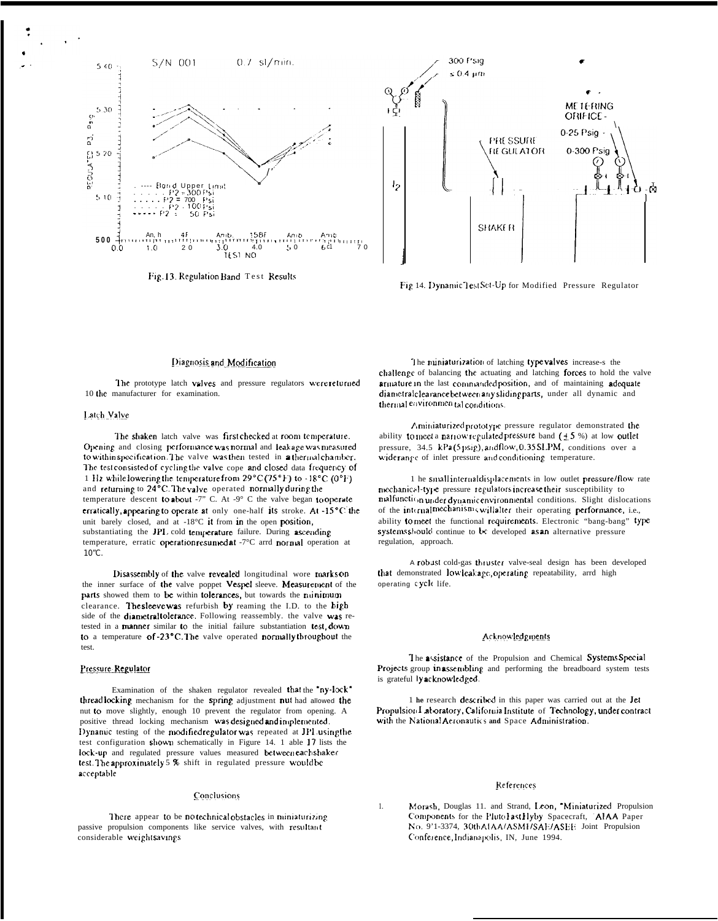

Fig. 13. Regulation Band Test Results



Fig 14. Dynamic lestSet-Up for Modified Pressure Regulator

#### Diagnosis and Modification

The prototype latch valves and pressure regulators were returned 10 the manufacturer for examination.

#### Latch Valve

The shaken latch valve was first checked at room temperature. Opening and closing performance was normal and leakage was measured to within specification. The valve was then tested in a thermal chamber. The test consisted of cycling the valve cope and closed data frequency of 1 Hz while lowering the temperature from 29°C (75°F) to -18°C (0°F) and returning to 24°C. The valve operated normally during the temperature descent to about -7" C. At -9 $^{\circ}$  C the valve began to operate erratically, appearing to operate at only one-half its stroke. At -15°C the unit barely closed, and at -18°C it from in the open position, substantiating the JPL cold temperature failure. During ascending temperature, erratic operation resumed at -7°C arrd normal operation at  $10^{\circ}$ C.

Disassembly of the valve revealed longitudinal wore marks on the inner surface of the valve poppet Vespel sleeve. Measurement of the parts showed them to be within tolerances, but towards the nunimum clearance. The sleeve was refurbish by reaming the I.D. to the high side of the diametral tolerance. Following reassembly. the valve was retested in a manner similar to the initial failure substantiation test, down to a temperature of -23°C. The valve operated normally throughout the test.

#### Pressure Regulator

Examination of the shaken regulator revealed that the "ny-lock" thread locking mechanism for the spring adjustment nut had allowed the nut to move slightly, enough 10 prevent the regulator from opening. A positive thread locking mechanism was designed and implemented. Dynamic testing of the modified regulator was repeated at JPL using the test configuration shown schematically in Figure 14. 1 able 17 lists the lock-up and regulated pressure values measured between each shaker test. The approximately 5 % shift in regulated pressure would be acceptable

#### Conclusions

There appear to be notechnical obstacles in miniaturizing passive propulsion components like service valves, with resultant considerable weightsavings

The miniaturization of latching type valves increase-s the challenge of balancing the actuating and latching forces to hold the valve armature in the last commanded position, and of maintaining adequate diametral clearance between any sliding parts, under all dynamic and thermal environmental conditions.

Aminiaturized prototype pressure regulator demonstrated the ability to meet a narrow regulated pressure band  $(±5%)$  at low outlet pressure, 34.5 kPa(5psig), and flow, 0.35SLPM, conditions over a wide range of inlet pressure and conditioning temperature.

1 he smallinternal displacements in low outlet pressure/flow rate mechanical-type pressure regulators increase their susceptibility to malfunction under dynamic environmental conditions. Slight dislocations of the internal mechanisms will alter their operating performance, i.e., ability to meet the functional requirements. Electronic "bang-bang" type systems should continue to be developed as an alternative pressure regulation, approach.

A robust cold-gas thruster valve-seal design has been developed that demonstrated lowleakage, operating repeatability, arrd high operating cycle life.

#### Acknowledgments

The assistance of the Propulsion and Chemical Systems Special Projects group in assembling and performing the breadboard system tests is grateful lyacknowledged.

1 he research described in this paper was carried out at the Jet Propulsion I aboratory, California Institute of Technology, under contract with the National Aeronautics and Space Administration.

#### References

Morash, Douglas 11. and Strand, Leon, "Miniaturized Propulsion  $\mathbf{1}$ . Components for the PlutoFastHyby Spacecraft, AIAA Paper No. 9'1-3374, 30th AIAA/ASMI/SAE/ASEE Joint Propulsion Conference, Indianapolis, IN, June 1994.